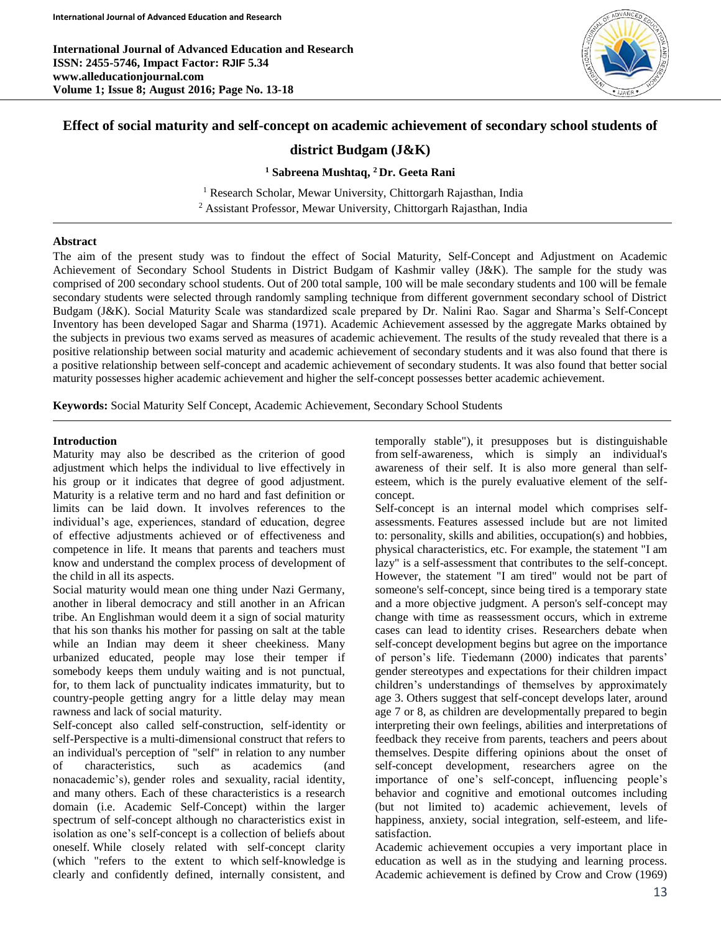**International Journal of Advanced Education and Research ISSN: 2455-5746, Impact Factor: RJIF 5.34 www.alleducationjournal.com Volume 1; Issue 8; August 2016; Page No. 13-18**



# **Effect of social maturity and self-concept on academic achievement of secondary school students of**

## **district Budgam (J&K)**

**<sup>1</sup> Sabreena Mushtaq, <sup>2</sup> Dr. Geeta Rani**

<sup>1</sup> Research Scholar, Mewar University, Chittorgarh Rajasthan, India <sup>2</sup> Assistant Professor, Mewar University, Chittorgarh Rajasthan, India

#### **Abstract**

The aim of the present study was to findout the effect of Social Maturity, Self-Concept and Adjustment on Academic Achievement of Secondary School Students in District Budgam of Kashmir valley (J&K). The sample for the study was comprised of 200 secondary school students. Out of 200 total sample, 100 will be male secondary students and 100 will be female secondary students were selected through randomly sampling technique from different government secondary school of District Budgam (J&K). Social Maturity Scale was standardized scale prepared by Dr. Nalini Rao. Sagar and Sharma's Self-Concept Inventory has been developed Sagar and Sharma (1971). Academic Achievement assessed by the aggregate Marks obtained by the subjects in previous two exams served as measures of academic achievement. The results of the study revealed that there is a positive relationship between social maturity and academic achievement of secondary students and it was also found that there is a positive relationship between self-concept and academic achievement of secondary students. It was also found that better social maturity possesses higher academic achievement and higher the self-concept possesses better academic achievement.

**Keywords:** Social Maturity Self Concept, Academic Achievement, Secondary School Students

#### **Introduction**

Maturity may also be described as the criterion of good adjustment which helps the individual to live effectively in his group or it indicates that degree of good adjustment. Maturity is a relative term and no hard and fast definition or limits can be laid down. It involves references to the individual's age, experiences, standard of education, degree of effective adjustments achieved or of effectiveness and competence in life. It means that parents and teachers must know and understand the complex process of development of the child in all its aspects.

Social maturity would mean one thing under Nazi Germany, another in liberal democracy and still another in an African tribe. An Englishman would deem it a sign of social maturity that his son thanks his mother for passing on salt at the table while an Indian may deem it sheer cheekiness. Many urbanized educated, people may lose their temper if somebody keeps them unduly waiting and is not punctual, for, to them lack of punctuality indicates immaturity, but to country-people getting angry for a little delay may mean rawness and lack of social maturity.

Self-concept also called self-construction, self-identity or self-Perspective is a multi-dimensional construct that refers to an individual's perception of "self" in relation to any number of characteristics, such as academics (and nonacademic's), gender roles and sexuality, racial identity, and many others. Each of these characteristics is a research domain (i.e. Academic Self-Concept) within the larger spectrum of self-concept although no characteristics exist in isolation as one's self-concept is a collection of beliefs about oneself. While closely related with self-concept clarity (which "refers to the extent to which self-knowledge is clearly and confidently defined, internally consistent, and

temporally stable"), it presupposes but is distinguishable from self-awareness, which is simply an individual's awareness of their self. It is also more general than selfesteem, which is the purely evaluative element of the selfconcept.

Self-concept is an internal model which comprises selfassessments. Features assessed include but are not limited to: personality, skills and abilities, occupation(s) and hobbies, physical characteristics, etc. For example, the statement "I am lazy" is a self-assessment that contributes to the self-concept. However, the statement "I am tired" would not be part of someone's self-concept, since being tired is a temporary state and a more objective judgment. A person's self-concept may change with time as reassessment occurs, which in extreme cases can lead to identity crises. Researchers debate when self-concept development begins but agree on the importance of person's life. Tiedemann (2000) indicates that parents' gender stereotypes and expectations for their children impact children's understandings of themselves by approximately age 3. Others suggest that self-concept develops later, around age 7 or 8, as children are developmentally prepared to begin interpreting their own feelings, abilities and interpretations of feedback they receive from parents, teachers and peers about themselves. Despite differing opinions about the onset of self-concept development, researchers agree on the importance of one's self-concept, influencing people's behavior and cognitive and emotional outcomes including (but not limited to) academic achievement, levels of happiness, anxiety, social integration, self-esteem, and lifesatisfaction.

Academic achievement occupies a very important place in education as well as in the studying and learning process. Academic achievement is defined by Crow and Crow (1969)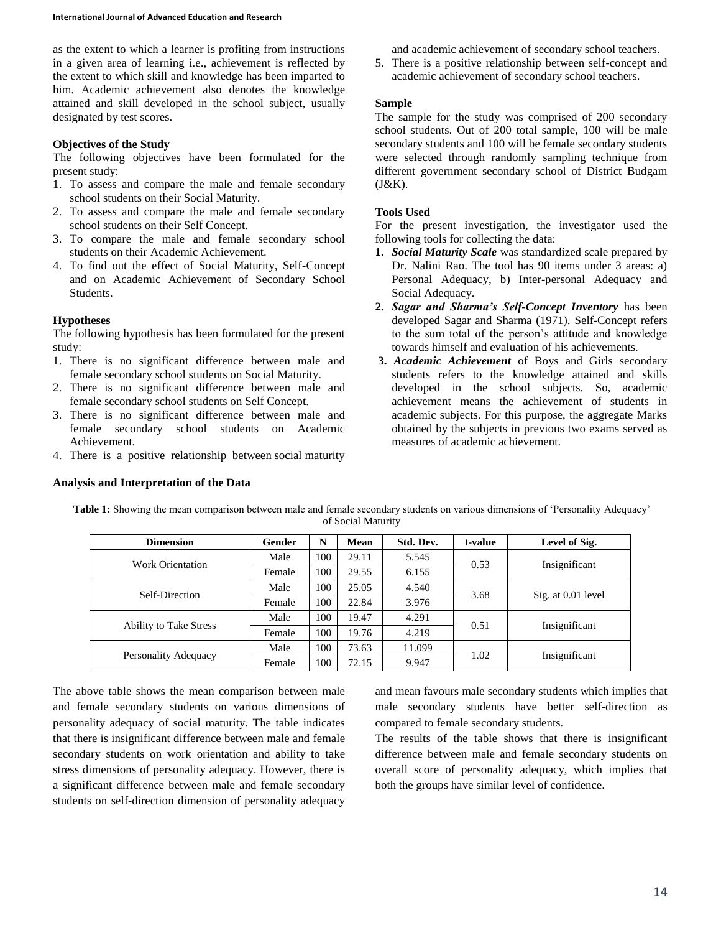as the extent to which a learner is profiting from instructions in a given area of learning i.e., achievement is reflected by the extent to which skill and knowledge has been imparted to him. Academic achievement also denotes the knowledge attained and skill developed in the school subject, usually designated by test scores.

### **Objectives of the Study**

The following objectives have been formulated for the present study:

- 1. To assess and compare the male and female secondary school students on their Social Maturity.
- 2. To assess and compare the male and female secondary school students on their Self Concept.
- 3. To compare the male and female secondary school students on their Academic Achievement.
- 4. To find out the effect of Social Maturity, Self-Concept and on Academic Achievement of Secondary School Students.

## **Hypotheses**

The following hypothesis has been formulated for the present study:

- 1. There is no significant difference between male and female secondary school students on Social Maturity.
- 2. There is no significant difference between male and female secondary school students on Self Concept.
- 3. There is no significant difference between male and female secondary school students on Academic Achievement.
- 4. There is a positive relationship between social maturity

#### **Analysis and Interpretation of the Data**

and academic achievement of secondary school teachers.

5. There is a positive relationship between self-concept and academic achievement of secondary school teachers.

### **Sample**

The sample for the study was comprised of 200 secondary school students. Out of 200 total sample, 100 will be male secondary students and 100 will be female secondary students were selected through randomly sampling technique from different government secondary school of District Budgam  $(J&K)$ .

## **Tools Used**

For the present investigation, the investigator used the following tools for collecting the data:

- **1.** *Social Maturity Scale* was standardized scale prepared by Dr. Nalini Rao. The tool has 90 items under 3 areas: a) Personal Adequacy, b) Inter-personal Adequacy and Social Adequacy.
- **2.** *Sagar and Sharma's Self-Concept Inventory* has been developed Sagar and Sharma (1971). Self-Concept refers to the sum total of the person's attitude and knowledge towards himself and evaluation of his achievements.
- **3.** *Academic Achievement* of Boys and Girls secondary students refers to the knowledge attained and skills developed in the school subjects. So, academic achievement means the achievement of students in academic subjects. For this purpose, the aggregate Marks obtained by the subjects in previous two exams served as measures of academic achievement.

| <b>Dimension</b>              | Gender | N   | Mean  | Std. Dev. | t-value | Level of Sig.      |
|-------------------------------|--------|-----|-------|-----------|---------|--------------------|
| <b>Work Orientation</b>       | Male   | 100 | 29.11 | 5.545     | 0.53    | Insignificant      |
|                               | Female | 100 | 29.55 | 6.155     |         |                    |
| Self-Direction                | Male   | 100 | 25.05 | 4.540     | 3.68    |                    |
|                               | Female | 100 | 22.84 | 3.976     |         | Sig. at 0.01 level |
|                               | Male   | 100 | 19.47 | 4.291     | 0.51    | Insignificant      |
| <b>Ability to Take Stress</b> | Female | 100 | 19.76 | 4.219     |         |                    |
|                               | Male   | 100 | 73.63 | 11.099    | 1.02    |                    |
| Personality Adequacy          | Female | 100 | 72.15 | 9.947     |         | Insignificant      |

**Table 1:** Showing the mean comparison between male and female secondary students on various dimensions of 'Personality Adequacy' of Social Maturity

The above table shows the mean comparison between male and female secondary students on various dimensions of personality adequacy of social maturity. The table indicates that there is insignificant difference between male and female secondary students on work orientation and ability to take stress dimensions of personality adequacy. However, there is a significant difference between male and female secondary students on self-direction dimension of personality adequacy

and mean favours male secondary students which implies that male secondary students have better self-direction as compared to female secondary students.

The results of the table shows that there is insignificant difference between male and female secondary students on overall score of personality adequacy, which implies that both the groups have similar level of confidence.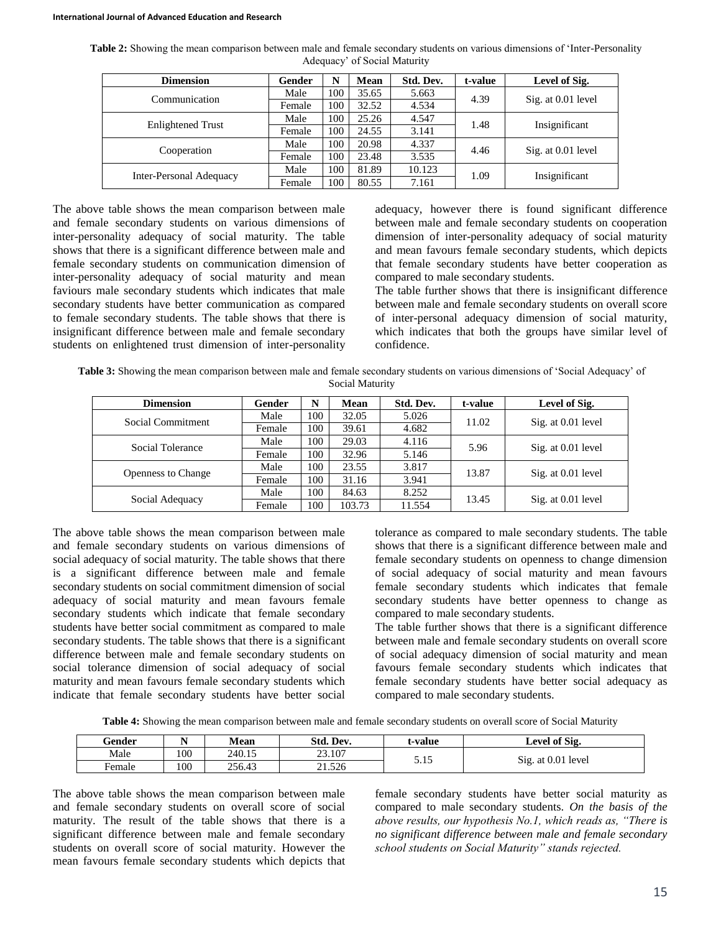| Table 2: Showing the mean comparison between male and female secondary students on various dimensions of 'Inter-Personality |                              |  |
|-----------------------------------------------------------------------------------------------------------------------------|------------------------------|--|
|                                                                                                                             | Adequacy' of Social Maturity |  |

| <b>Dimension</b>               | Gender | N   | Mean  | Std. Dev. | t-value | Level of Sig.      |
|--------------------------------|--------|-----|-------|-----------|---------|--------------------|
| Communication                  | Male   | 100 | 35.65 | 5.663     | 4.39    |                    |
|                                | Female | 100 | 32.52 | 4.534     |         | Sig. at 0.01 level |
|                                | Male   | 100 | 25.26 | 4.547     | 1.48    | Insignificant      |
| <b>Enlightened Trust</b>       | Female | 100 | 24.55 | 3.141     |         |                    |
|                                | Male   | 100 | 20.98 | 4.337     | 4.46    | Sig. at 0.01 level |
| Cooperation                    | Female | 100 | 23.48 | 3.535     |         |                    |
|                                | Male   | 100 | 81.89 | 10.123    | 1.09    |                    |
| <b>Inter-Personal Adequacy</b> | Female | 100 | 80.55 | 7.161     |         | Insignificant      |

The above table shows the mean comparison between male and female secondary students on various dimensions of inter-personality adequacy of social maturity. The table shows that there is a significant difference between male and female secondary students on communication dimension of inter-personality adequacy of social maturity and mean faviours male secondary students which indicates that male secondary students have better communication as compared to female secondary students. The table shows that there is insignificant difference between male and female secondary students on enlightened trust dimension of inter-personality adequacy, however there is found significant difference between male and female secondary students on cooperation dimension of inter-personality adequacy of social maturity and mean favours female secondary students, which depicts that female secondary students have better cooperation as compared to male secondary students.

The table further shows that there is insignificant difference between male and female secondary students on overall score of inter-personal adequacy dimension of social maturity, which indicates that both the groups have similar level of confidence.

**Table 3:** Showing the mean comparison between male and female secondary students on various dimensions of 'Social Adequacy' of Social Maturity

| <b>Dimension</b>          | Gender | N   | Mean   | Std. Dev. | t-value | Level of Sig.      |
|---------------------------|--------|-----|--------|-----------|---------|--------------------|
| Social Commitment         | Male   | 100 | 32.05  | 5.026     | 11.02   | Sig. at 0.01 level |
|                           | Female | 100 | 39.61  | 4.682     |         |                    |
|                           | Male   | 100 | 29.03  | 4.116     | 5.96    |                    |
| Social Tolerance          | Female | 100 | 32.96  | 5.146     |         | Sig. at 0.01 level |
| <b>Openness to Change</b> | Male   | 100 | 23.55  | 3.817     |         | Sig. at 0.01 level |
|                           | Female | 100 | 31.16  | 3.941     | 13.87   |                    |
|                           | Male   | 100 | 84.63  | 8.252     | 13.45   | Sig. at 0.01 level |
| Social Adequacy           | Female | 100 | 103.73 | 11.554    |         |                    |

The above table shows the mean comparison between male and female secondary students on various dimensions of social adequacy of social maturity. The table shows that there is a significant difference between male and female secondary students on social commitment dimension of social adequacy of social maturity and mean favours female secondary students which indicate that female secondary students have better social commitment as compared to male secondary students. The table shows that there is a significant difference between male and female secondary students on social tolerance dimension of social adequacy of social maturity and mean favours female secondary students which indicate that female secondary students have better social tolerance as compared to male secondary students. The table shows that there is a significant difference between male and female secondary students on openness to change dimension of social adequacy of social maturity and mean favours female secondary students which indicates that female secondary students have better openness to change as compared to male secondary students.

The table further shows that there is a significant difference between male and female secondary students on overall score of social adequacy dimension of social maturity and mean favours female secondary students which indicates that female secondary students have better social adequacy as compared to male secondary students.

**Table 4:** Showing the mean comparison between male and female secondary students on overall score of Social Maturity

| Gender | - - | Mean   | Std. Dev. | t-value  | Level of Sig.      |
|--------|-----|--------|-----------|----------|--------------------|
| Male   | 100 | 240.15 | 23.107    | 515      | Sig. at 0.01 level |
| Female | 100 | 256.43 | 21.526    | <u>.</u> |                    |

The above table shows the mean comparison between male and female secondary students on overall score of social maturity. The result of the table shows that there is a significant difference between male and female secondary students on overall score of social maturity. However the mean favours female secondary students which depicts that female secondary students have better social maturity as compared to male secondary students. *On the basis of the above results, our hypothesis No.1, which reads as, "There is no significant difference between male and female secondary school students on Social Maturity" stands rejected.*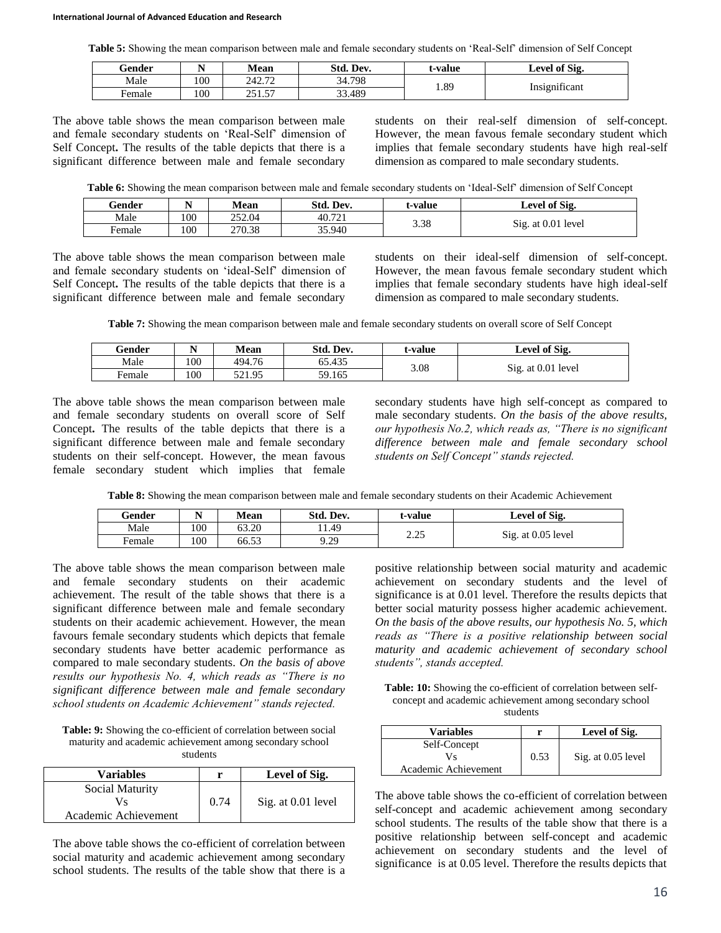**Table 5:** Showing the mean comparison between male and female secondary students on 'Real-Self' dimension of Self Concept

| Gender |     | Mean                     | Std. Dev. | t-value | Level of Sig. |
|--------|-----|--------------------------|-----------|---------|---------------|
| Male   | 100 | 242.72                   | 34.798    | 1.89    | $\sim$        |
| Female | 100 | . 57<br>251<br>ر ب<br>ر_ | 33.489    |         | Insignificant |

The above table shows the mean comparison between male and female secondary students on 'Real-Self' dimension of Self Concept**.** The results of the table depicts that there is a significant difference between male and female secondary

students on their real-self dimension of self-concept. However, the mean favous female secondary student which implies that female secondary students have high real-self dimension as compared to male secondary students.

**Table 6:** Showing the mean comparison between male and female secondary students on 'Ideal-Self' dimension of Self Concept

| Gender      |     | <b>Mean</b> | Std. Dev. | t-value | Level of Sig.      |
|-------------|-----|-------------|-----------|---------|--------------------|
| Male        | 100 | 252.04      | 40.721    |         |                    |
| -<br>Female | 100 | 270.38      | 35.940    | 3.38    | Sig. at 0.01 level |

The above table shows the mean comparison between male and female secondary students on 'ideal-Self' dimension of Self Concept**.** The results of the table depicts that there is a significant difference between male and female secondary

students on their ideal-self dimension of self-concept. However, the mean favous female secondary student which implies that female secondary students have high ideal-self dimension as compared to male secondary students.

**Table 7:** Showing the mean comparison between male and female secondary students on overall score of Self Concept

| Gender | N  | Mean   | Std. Dev. | t-value | Level of Sig.      |
|--------|----|--------|-----------|---------|--------------------|
| Male   | 00 | 494.76 | 65.435    | 3.08    |                    |
| Female | 00 | 521.95 | 59.165    |         | Sig. at 0.01 level |

The above table shows the mean comparison between male and female secondary students on overall score of Self Concept**.** The results of the table depicts that there is a significant difference between male and female secondary students on their self-concept. However, the mean favous female secondary student which implies that female

secondary students have high self-concept as compared to male secondary students. *On the basis of the above results, our hypothesis No.2, which reads as, "There is no significant difference between male and female secondary school students on Self Concept" stands rejected.* 

**Table 8:** Showing the mean comparison between male and female secondary students on their Academic Achievement

| Gender | N   | <b>Mean</b> | Std. Dev. | t-value  | Level of Sig.      |
|--------|-----|-------------|-----------|----------|--------------------|
| Male   | 100 | 63.20       | 1.49      | າ າເ     |                    |
| Female | 100 | 66.53       | 9.29      | ت کے ویک | Sig. at 0.05 level |

The above table shows the mean comparison between male and female secondary students on their academic achievement. The result of the table shows that there is a significant difference between male and female secondary students on their academic achievement. However, the mean favours female secondary students which depicts that female secondary students have better academic performance as compared to male secondary students. *On the basis of above results our hypothesis No. 4, which reads as "There is no significant difference between male and female secondary school students on Academic Achievement" stands rejected.* 

**Table: 9:** Showing the co-efficient of correlation between social maturity and academic achievement among secondary school students

| <b>Variables</b>                              | r    | Level of Sig.      |
|-----------------------------------------------|------|--------------------|
| Social Maturity<br>Vs<br>Academic Achievement | 0.74 | Sig. at 0.01 level |

The above table shows the co-efficient of correlation between social maturity and academic achievement among secondary school students. The results of the table show that there is a positive relationship between social maturity and academic achievement on secondary students and the level of significance is at 0.01 level. Therefore the results depicts that better social maturity possess higher academic achievement. *On the basis of the above results, our hypothesis No. 5, which reads as "There is a positive relationship between social maturity and academic achievement of secondary school students", stands accepted.* 

**Table: 10:** Showing the co-efficient of correlation between selfconcept and academic achievement among secondary school students

| <b>Variables</b>     | r    | Level of Sig.      |
|----------------------|------|--------------------|
| Self-Concept<br>Vs   | 0.53 |                    |
| Academic Achievement |      | Sig. at 0.05 level |

The above table shows the co-efficient of correlation between self-concept and academic achievement among secondary school students. The results of the table show that there is a positive relationship between self-concept and academic achievement on secondary students and the level of significance is at 0.05 level. Therefore the results depicts that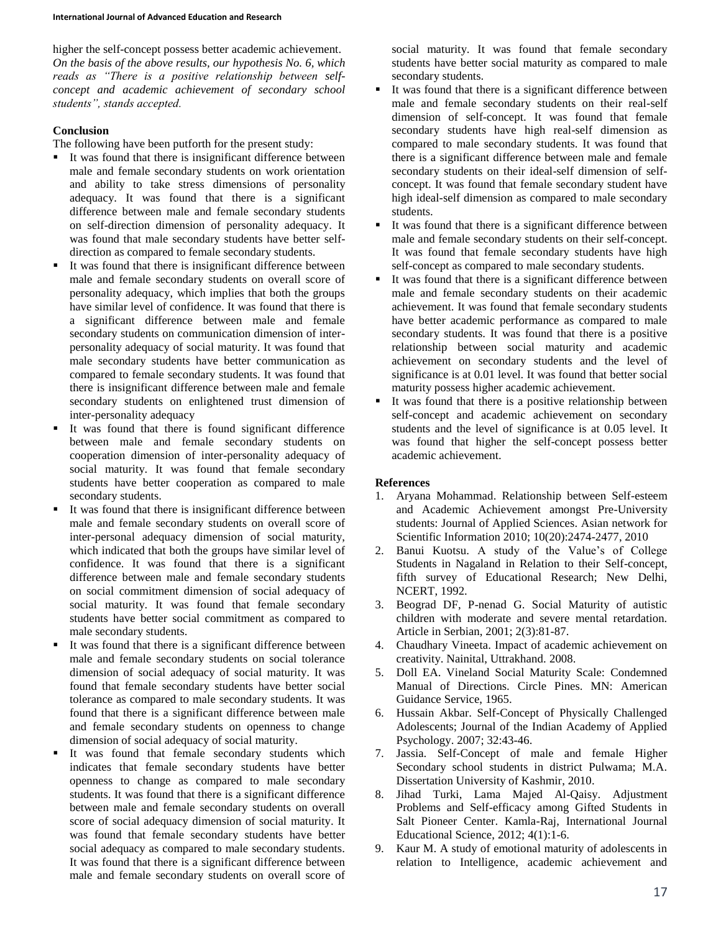higher the self-concept possess better academic achievement. *On the basis of the above results, our hypothesis No. 6, which reads as "There is a positive relationship between selfconcept and academic achievement of secondary school students", stands accepted.* 

#### **Conclusion**

The following have been putforth for the present study:

- It was found that there is insignificant difference between male and female secondary students on work orientation and ability to take stress dimensions of personality adequacy. It was found that there is a significant difference between male and female secondary students on self-direction dimension of personality adequacy. It was found that male secondary students have better selfdirection as compared to female secondary students.
- It was found that there is insignificant difference between male and female secondary students on overall score of personality adequacy, which implies that both the groups have similar level of confidence. It was found that there is a significant difference between male and female secondary students on communication dimension of interpersonality adequacy of social maturity. It was found that male secondary students have better communication as compared to female secondary students. It was found that there is insignificant difference between male and female secondary students on enlightened trust dimension of inter-personality adequacy
- It was found that there is found significant difference between male and female secondary students on cooperation dimension of inter-personality adequacy of social maturity. It was found that female secondary students have better cooperation as compared to male secondary students.
- It was found that there is insignificant difference between male and female secondary students on overall score of inter-personal adequacy dimension of social maturity, which indicated that both the groups have similar level of confidence. It was found that there is a significant difference between male and female secondary students on social commitment dimension of social adequacy of social maturity. It was found that female secondary students have better social commitment as compared to male secondary students.
- It was found that there is a significant difference between male and female secondary students on social tolerance dimension of social adequacy of social maturity. It was found that female secondary students have better social tolerance as compared to male secondary students. It was found that there is a significant difference between male and female secondary students on openness to change dimension of social adequacy of social maturity.
- It was found that female secondary students which indicates that female secondary students have better openness to change as compared to male secondary students. It was found that there is a significant difference between male and female secondary students on overall score of social adequacy dimension of social maturity. It was found that female secondary students have better social adequacy as compared to male secondary students. It was found that there is a significant difference between male and female secondary students on overall score of

social maturity. It was found that female secondary students have better social maturity as compared to male secondary students.

- It was found that there is a significant difference between male and female secondary students on their real-self dimension of self-concept. It was found that female secondary students have high real-self dimension as compared to male secondary students. It was found that there is a significant difference between male and female secondary students on their ideal-self dimension of selfconcept. It was found that female secondary student have high ideal-self dimension as compared to male secondary students.
- It was found that there is a significant difference between male and female secondary students on their self-concept. It was found that female secondary students have high self-concept as compared to male secondary students.
- It was found that there is a significant difference between male and female secondary students on their academic achievement. It was found that female secondary students have better academic performance as compared to male secondary students. It was found that there is a positive relationship between social maturity and academic achievement on secondary students and the level of significance is at 0.01 level. It was found that better social maturity possess higher academic achievement.
- It was found that there is a positive relationship between self-concept and academic achievement on secondary students and the level of significance is at 0.05 level. It was found that higher the self-concept possess better academic achievement.

#### **References**

- 1. Aryana Mohammad. Relationship between Self-esteem and Academic Achievement amongst Pre-University students: Journal of Applied Sciences. Asian network for Scientific Information 2010; 10(20):2474-2477, 2010
- 2. Banui Kuotsu. A study of the Value's of College Students in Nagaland in Relation to their Self-concept, fifth survey of Educational Research; New Delhi, NCERT, 1992.
- 3. Beograd DF, P-nenad G. Social Maturity of autistic children with moderate and severe mental retardation. Article in Serbian, 2001; 2(3):81-87.
- 4. Chaudhary Vineeta. Impact of academic achievement on creativity. Nainital, Uttrakhand. 2008.
- 5. Doll EA. Vineland Social Maturity Scale: Condemned Manual of Directions. Circle Pines. MN: American Guidance Service, 1965.
- 6. Hussain Akbar. Self-Concept of Physically Challenged Adolescents; Journal of the Indian Academy of Applied Psychology. 2007; 32:43-46.
- 7. Jassia. Self-Concept of male and female Higher Secondary school students in district Pulwama; M.A. Dissertation University of Kashmir, 2010.
- 8. Jihad Turki, Lama Majed Al-Qaisy. Adjustment Problems and Self-efficacy among Gifted Students in Salt Pioneer Center. Kamla-Raj, International Journal Educational Science, 2012; 4(1):1-6.
- 9. Kaur M. A study of emotional maturity of adolescents in relation to Intelligence, academic achievement and